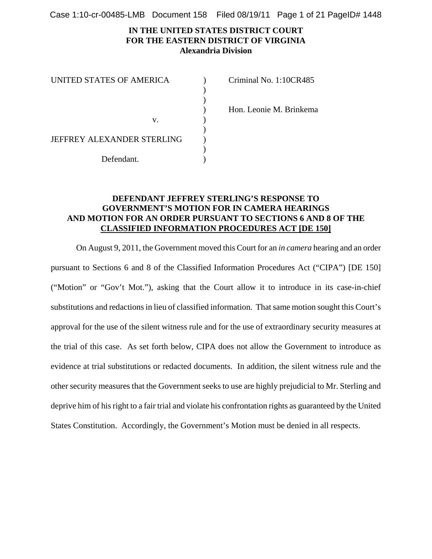Case 1:10-cr-00485-LMB Document 158 Filed 08/19/11 Page 1 of 21 PageID# 1448

### **IN THE UNITED STATES DISTRICT COURT FOR THE EASTERN DISTRICT OF VIRGINIA Alexandria Division**

| UNITED STATES OF AMERICA   | Criminal No. 1:10CR485  |
|----------------------------|-------------------------|
|                            |                         |
|                            |                         |
|                            | Hon. Leonie M. Brinkema |
| v.                         |                         |
|                            |                         |
| JEFFREY ALEXANDER STERLING |                         |
|                            |                         |
| Defendant.                 |                         |

# **DEFENDANT JEFFREY STERLING'S RESPONSE TO GOVERNMENT'S MOTION FOR IN CAMERA HEARINGS AND MOTION FOR AN ORDER PURSUANT TO SECTIONS 6 AND 8 OF THE CLASSIFIED INFORMATION PROCEDURES ACT [DE 150]**

On August 9, 2011, the Government moved this Court for an *in camera* hearing and an order pursuant to Sections 6 and 8 of the Classified Information Procedures Act ("CIPA") [DE 150] ("Motion" or "Gov't Mot."), asking that the Court allow it to introduce in its case-in-chief substitutions and redactions in lieu of classified information. That same motion sought this Court's approval for the use of the silent witness rule and for the use of extraordinary security measures at the trial of this case. As set forth below, CIPA does not allow the Government to introduce as evidence at trial substitutions or redacted documents. In addition, the silent witness rule and the other security measures that the Government seeks to use are highly prejudicial to Mr. Sterling and deprive him of his right to a fair trial and violate his confrontation rights as guaranteed by the United States Constitution. Accordingly, the Government's Motion must be denied in all respects.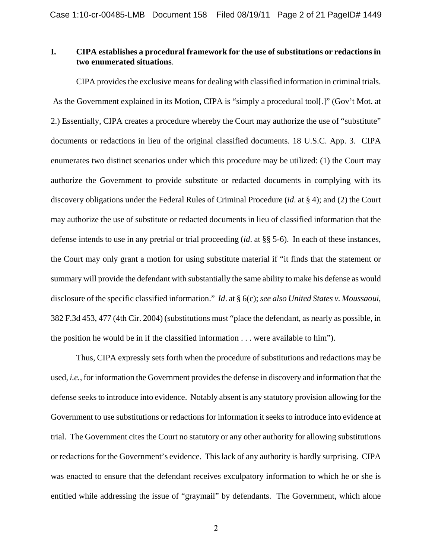# **I. CIPA establishes a procedural framework for the use of substitutions or redactions in two enumerated situations**.

CIPA provides the exclusive means for dealing with classified information in criminal trials. As the Government explained in its Motion, CIPA is "simply a procedural tool[.]" (Gov't Mot. at 2.) Essentially, CIPA creates a procedure whereby the Court may authorize the use of "substitute" documents or redactions in lieu of the original classified documents. 18 U.S.C. App. 3. CIPA enumerates two distinct scenarios under which this procedure may be utilized: (1) the Court may authorize the Government to provide substitute or redacted documents in complying with its discovery obligations under the Federal Rules of Criminal Procedure (*id*. at § 4); and (2) the Court may authorize the use of substitute or redacted documents in lieu of classified information that the defense intends to use in any pretrial or trial proceeding (*id*. at §§ 5-6). In each of these instances, the Court may only grant a motion for using substitute material if "it finds that the statement or summary will provide the defendant with substantially the same ability to make his defense as would disclosure of the specific classified information." *Id*. at § 6(c); *see also United States v. Moussaoui*, 382 F.3d 453, 477 (4th Cir. 2004) (substitutions must "place the defendant, as nearly as possible, in the position he would be in if the classified information . . . were available to him").

Thus, CIPA expressly sets forth when the procedure of substitutions and redactions may be used, *i.e.*, for information the Government provides the defense in discovery and information that the defense seeks to introduce into evidence. Notably absent is any statutory provision allowing for the Government to use substitutions or redactions for information it seeks to introduce into evidence at trial. The Government cites the Court no statutory or any other authority for allowing substitutions or redactions for the Government's evidence. This lack of any authority is hardly surprising. CIPA was enacted to ensure that the defendant receives exculpatory information to which he or she is entitled while addressing the issue of "graymail" by defendants. The Government, which alone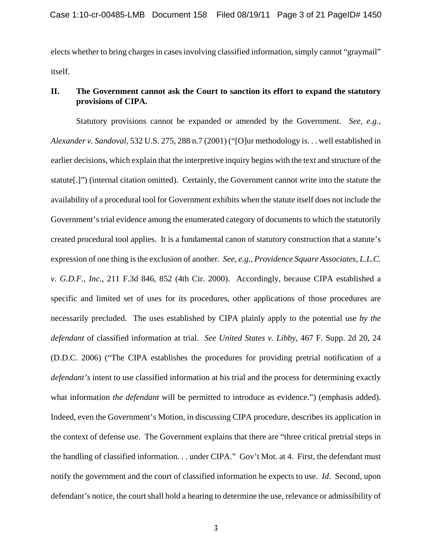elects whether to bring charges in cases involving classified information, simply cannot "graymail" itself.

# **II. The Government cannot ask the Court to sanction its effort to expand the statutory provisions of CIPA.**

Statutory provisions cannot be expanded or amended by the Government. *See, e.g., Alexander v. Sandoval*, 532 U.S. 275, 288 n.7 (2001) ("[O]ur methodology is. . . well established in earlier decisions, which explain that the interpretive inquiry begins with the text and structure of the statute[.]") (internal citation omitted). Certainly, the Government cannot write into the statute the availability of a procedural tool for Government exhibits when the statute itself does not include the Government's trial evidence among the enumerated category of documents to which the statutorily created procedural tool applies. It is a fundamental canon of statutory construction that a statute's expression of one thing is the exclusion of another. *See, e.g., Providence Square Associates, L.L.C. v. G.D.F., Inc.*, 211 F.3d 846, 852 (4th Cir. 2000). Accordingly, because CIPA established a specific and limited set of uses for its procedures, other applications of those procedures are necessarily precluded. The uses established by CIPA plainly apply to the potential use *by the defendant* of classified information at trial. *See United States v. Libby*, 467 F. Supp. 2d 20, 24 (D.D.C. 2006) ("The CIPA establishes the procedures for providing pretrial notification of a *defendant's* intent to use classified information at his trial and the process for determining exactly what information *the defendant* will be permitted to introduce as evidence.") (emphasis added). Indeed, even the Government's Motion, in discussing CIPA procedure, describes its application in the context of defense use. The Government explains that there are "three critical pretrial steps in the handling of classified information. . . under CIPA." Gov't Mot. at 4. First, the defendant must notify the government and the court of classified information he expects to use. *Id*. Second, upon defendant's notice, the court shall hold a hearing to determine the use, relevance or admissibility of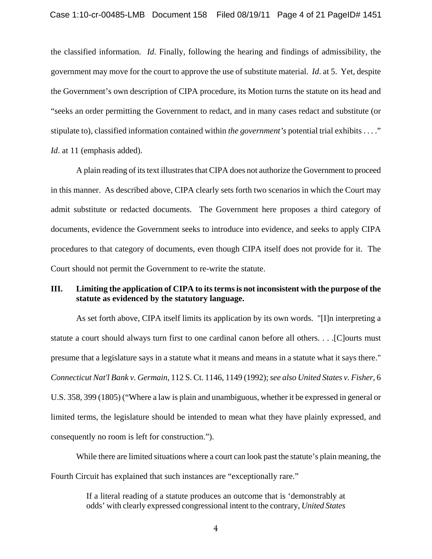the classified information. *Id*. Finally, following the hearing and findings of admissibility, the government may move for the court to approve the use of substitute material. *Id*. at 5. Yet, despite the Government's own description of CIPA procedure, its Motion turns the statute on its head and "seeks an order permitting the Government to redact, and in many cases redact and substitute (or stipulate to), classified information contained within *the government's* potential trial exhibits . . . ." *Id.* at 11 (emphasis added).

A plain reading of its text illustrates that CIPA does not authorize the Government to proceed in this manner. As described above, CIPA clearly sets forth two scenarios in which the Court may admit substitute or redacted documents. The Government here proposes a third category of documents, evidence the Government seeks to introduce into evidence, and seeks to apply CIPA procedures to that category of documents, even though CIPA itself does not provide for it. The Court should not permit the Government to re-write the statute.

### **III. Limiting the application of CIPA to its terms is not inconsistent with the purpose of the statute as evidenced by the statutory language.**

As set forth above, CIPA itself limits its application by its own words. "[I]n interpreting a statute a court should always turn first to one cardinal canon before all others. . . .[C]ourts must presume that a legislature says in a statute what it means and means in a statute what it says there." *Connecticut Nat'l Bank v. Germain*, 112 S. Ct. 1146, 1149 (1992); *see also United States v. Fisher*, 6 U.S. 358, 399 (1805) ("Where a law is plain and unambiguous, whether it be expressed in general or limited terms, the legislature should be intended to mean what they have plainly expressed, and consequently no room is left for construction.").

While there are limited situations where a court can look past the statute's plain meaning, the Fourth Circuit has explained that such instances are "exceptionally rare."

> If a literal reading of a statute produces an outcome that is 'demonstrably at odds' with clearly expressed congressional intent to the contrary, *United States*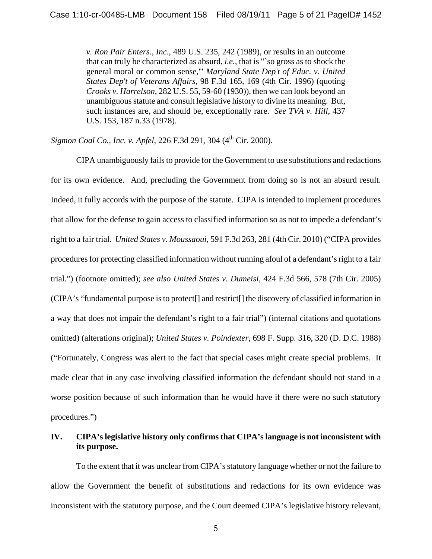*v. Ron Pair Enters., Inc*., 489 U.S. 235, 242 (1989), or results in an outcome that can truly be characterized as absurd, *i.e.*, that is "`so gross as to shock the general moral or common sense,'" *Maryland State Dep't of Educ. v. United States Dep't of Veterans Affairs*, 98 F.3d 165, 169 (4th Cir. 1996) (quoting *Crooks v. Harrelson*, 282 U.S. 55, 59-60 (1930)), then we can look beyond an unambiguous statute and consult legislative history to divine its meaning. But, such instances are, and should be, exceptionally rare. *See TVA v. Hill*, 437 U.S. 153, 187 n.33 (1978).

Sigmon Coal Co., Inc. v. Apfel, 226 F.3d 291, 304 (4<sup>th</sup> Cir. 2000).

CIPA unambiguously fails to provide for the Government to use substitutions and redactions for its own evidence. And, precluding the Government from doing so is not an absurd result. Indeed, it fully accords with the purpose of the statute. CIPA is intended to implement procedures that allow for the defense to gain access to classified information so as not to impede a defendant's right to a fair trial. *United States v. Moussaoui*, 591 F.3d 263, 281 (4th Cir. 2010) ("CIPA provides procedures for protecting classified information without running afoul of a defendant's right to a fair trial.") (footnote omitted); *see also United States v. Dumeisi*, 424 F.3d 566, 578 (7th Cir. 2005) (CIPA's "fundamental purpose is to protect[] and restrict[] the discovery of classified information in a way that does not impair the defendant's right to a fair trial") (internal citations and quotations omitted) (alterations original); *United States v. Poindexter*, 698 F. Supp. 316, 320 (D. D.C. 1988) ("Fortunately, Congress was alert to the fact that special cases might create special problems. It made clear that in any case involving classified information the defendant should not stand in a worse position because of such information than he would have if there were no such statutory procedures.")

# **IV. CIPA's legislative history only confirms that CIPA's language is not inconsistent with its purpose.**

To the extent that it was unclear from CIPA's statutory language whether or not the failure to allow the Government the benefit of substitutions and redactions for its own evidence was inconsistent with the statutory purpose, and the Court deemed CIPA's legislative history relevant,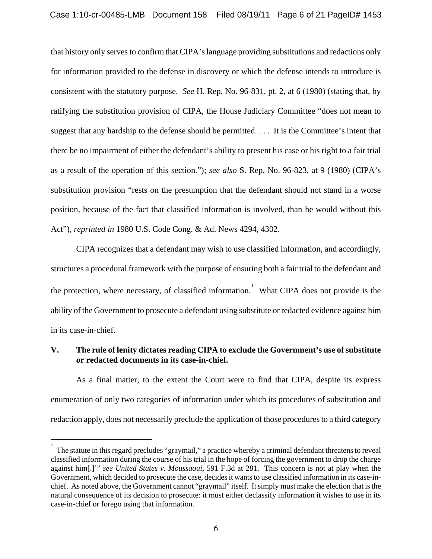that history only serves to confirm that CIPA's language providing substitutions and redactions only for information provided to the defense in discovery or which the defense intends to introduce is consistent with the statutory purpose. *See* H. Rep. No. 96-831, pt. 2, at 6 (1980) (stating that, by ratifying the substitution provision of CIPA, the House Judiciary Committee "does not mean to suggest that any hardship to the defense should be permitted. . . . It is the Committee's intent that there be no impairment of either the defendant's ability to present his case or his right to a fair trial as a result of the operation of this section."); *see also* S. Rep. No. 96-823, at 9 (1980) (CIPA's substitution provision "rests on the presumption that the defendant should not stand in a worse position, because of the fact that classified information is involved, than he would without this Act"), *reprinted in* 1980 U.S. Code Cong. & Ad. News 4294, 4302.

CIPA recognizes that a defendant may wish to use classified information, and accordingly, structures a procedural framework with the purpose of ensuring both a fair trial to the defendant and the protection, where necessary, of classified information.<sup>1</sup> What CIPA does not provide is the ability of the Government to prosecute a defendant using substitute or redacted evidence against him in its case-in-chief.

# **V. The rule of lenity dictates reading CIPA to exclude the Government's use of substitute or redacted documents in its case-in-chief.**

As a final matter, to the extent the Court were to find that CIPA, despite its express enumeration of only two categories of information under which its procedures of substitution and redaction apply, does not necessarily preclude the application of those procedures to a third category

 $\overline{a}$ 

<sup>1</sup> The statute in this regard precludes "graymail," a practice whereby a criminal defendant threatens to reveal classified information during the course of his trial in the hope of forcing the government to drop the charge against him[.]'" *see United States v. Moussaoui*, 591 F.3d at 281. This concern is not at play when the Government, which decided to prosecute the case, decides it wants to use classified information in its case-inchief. As noted above, the Government cannot "graymail" itself. It simply must make the election that is the natural consequence of its decision to prosecute: it must either declassify information it wishes to use in its case-in-chief or forego using that information.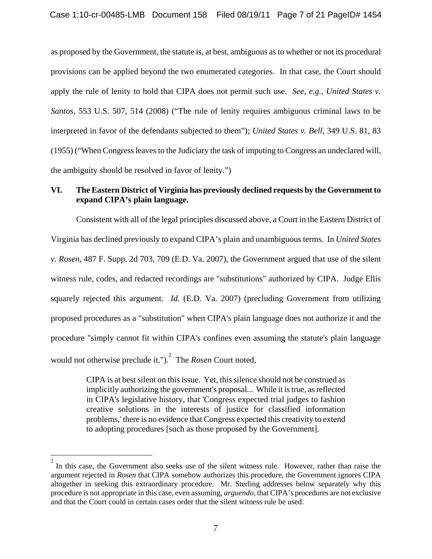as proposed by the Government, the statute is, at best, ambiguous as to whether or not its procedural provisions can be applied beyond the two enumerated categories. In that case, the Court should apply the rule of lenity to hold that CIPA does not permit such use. *See, e.g., United States v. Santos*, 553 U.S. 507, 514 (2008) ("The rule of lenity requires ambiguous criminal laws to be interpreted in favor of the defendants subjected to them"); *United States v. Bell*, 349 U.S. 81, 83 (1955) ("When Congress leaves to the Judiciary the task of imputing to Congress an undeclared will, the ambiguity should be resolved in favor of lenity.")

# **VI. The Eastern District of Virginia has previously declined requests by the Government to expand CIPA's plain language.**

Consistent with all of the legal principles discussed above, a Court in the Eastern District of Virginia has declined previously to expand CIPA's plain and unambiguous terms. In *United States v. Rosen*, 487 F. Supp. 2d 703, 709 (E.D. Va. 2007), the Government argued that use of the silent witness rule, codes, and redacted recordings are "substitutions" authorized by CIPA. Judge Ellis squarely rejected this argument. *Id.* (E.D. Va. 2007) (precluding Government from utilizing proposed procedures as a "substitution" when CIPA's plain language does not authorize it and the procedure "simply cannot fit within CIPA's confines even assuming the statute's plain language would not otherwise preclude it."). 2 The *Rosen* Court noted,

> CIPA is at best silent on this issue. Yet, this silence should not be construed as implicitly authorizing the government's proposal... While it is true, as reflected in CIPA's legislative history, that 'Congress expected trial judges to fashion creative solutions in the interests of justice for classified information problems,' there is no evidence that Congress expected this creativity to extend to adopting procedures [such as those proposed by the Government].

 $\overline{a}$ 

<sup>2</sup> In this case, the Government also seeks use of the silent witness rule. However, rather than raise the argument rejected in *Rosen* that CIPA somehow authorizes this procedure, the Government ignores CIPA altogether in seeking this extraordinary procedure. Mr. Sterling addresses below separately why this procedure is not appropriate in this case, even assuming, *arguendo*, that CIPA's procedures are not exclusive and that the Court could in certain cases order that the silent witness rule be used.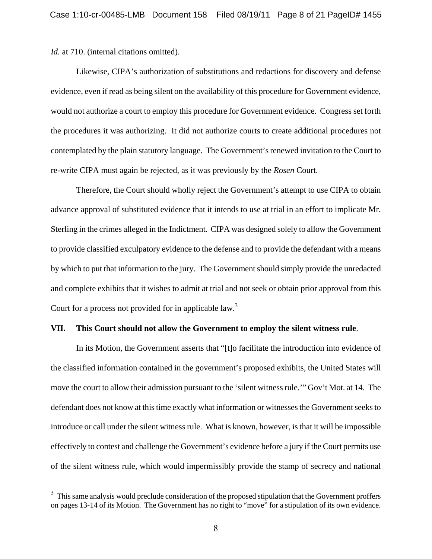*Id.* at 710. (internal citations omitted).

Likewise, CIPA's authorization of substitutions and redactions for discovery and defense evidence, even if read as being silent on the availability of this procedure for Government evidence, would not authorize a court to employ this procedure for Government evidence. Congress set forth the procedures it was authorizing. It did not authorize courts to create additional procedures not contemplated by the plain statutory language. The Government's renewed invitation to the Court to re-write CIPA must again be rejected, as it was previously by the *Rosen* Court.

Therefore, the Court should wholly reject the Government's attempt to use CIPA to obtain advance approval of substituted evidence that it intends to use at trial in an effort to implicate Mr. Sterling in the crimes alleged in the Indictment. CIPA was designed solely to allow the Government to provide classified exculpatory evidence to the defense and to provide the defendant with a means by which to put that information to the jury. The Government should simply provide the unredacted and complete exhibits that it wishes to admit at trial and not seek or obtain prior approval from this Court for a process not provided for in applicable law.<sup>3</sup>

#### **VII. This Court should not allow the Government to employ the silent witness rule**.

In its Motion, the Government asserts that "[t]o facilitate the introduction into evidence of the classified information contained in the government's proposed exhibits, the United States will move the court to allow their admission pursuant to the 'silent witness rule.'" Gov't Mot. at 14. The defendant does not know at this time exactly what information or witnesses the Government seeks to introduce or call under the silent witness rule. What is known, however, is that it will be impossible effectively to contest and challenge the Government's evidence before a jury if the Court permits use of the silent witness rule, which would impermissibly provide the stamp of secrecy and national

<sup>&</sup>lt;sup>3</sup> This same analysis would preclude consideration of the proposed stipulation that the Government proffers on pages 13-14 of its Motion. The Government has no right to "move" for a stipulation of its own evidence.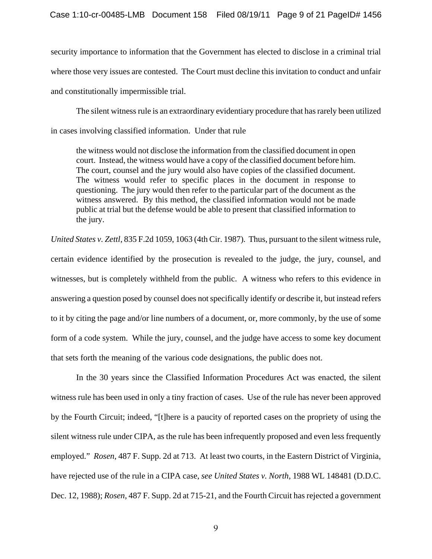security importance to information that the Government has elected to disclose in a criminal trial where those very issues are contested. The Court must decline this invitation to conduct and unfair and constitutionally impermissible trial.

The silent witness rule is an extraordinary evidentiary procedure that has rarely been utilized in cases involving classified information. Under that rule

the witness would not disclose the information from the classified document in open court. Instead, the witness would have a copy of the classified document before him. The court, counsel and the jury would also have copies of the classified document. The witness would refer to specific places in the document in response to questioning. The jury would then refer to the particular part of the document as the witness answered. By this method, the classified information would not be made public at trial but the defense would be able to present that classified information to the jury.

*United States v. Zettl*, 835 F.2d 1059, 1063 (4th Cir. 1987). Thus, pursuant to the silent witness rule, certain evidence identified by the prosecution is revealed to the judge, the jury, counsel, and witnesses, but is completely withheld from the public. A witness who refers to this evidence in answering a question posed by counsel does not specifically identify or describe it, but instead refers to it by citing the page and/or line numbers of a document, or, more commonly, by the use of some form of a code system. While the jury, counsel, and the judge have access to some key document that sets forth the meaning of the various code designations, the public does not.

In the 30 years since the Classified Information Procedures Act was enacted, the silent witness rule has been used in only a tiny fraction of cases. Use of the rule has never been approved by the Fourth Circuit; indeed, "[t]here is a paucity of reported cases on the propriety of using the silent witness rule under CIPA, as the rule has been infrequently proposed and even less frequently employed." *Rosen*, 487 F. Supp. 2d at 713. At least two courts, in the Eastern District of Virginia, have rejected use of the rule in a CIPA case, *see United States v. North*, 1988 WL 148481 (D.D.C. Dec. 12, 1988); *Rosen*, 487 F. Supp. 2d at 715-21, and the Fourth Circuit has rejected a government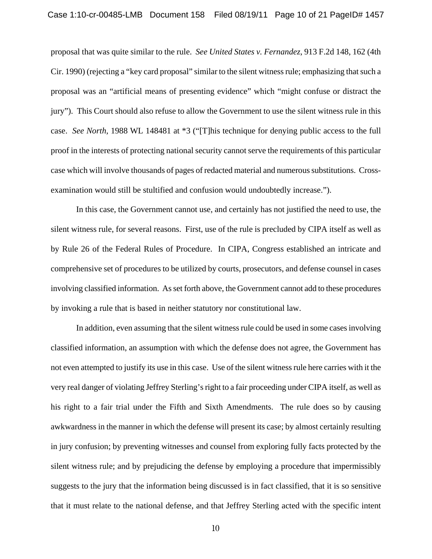proposal that was quite similar to the rule. *See United States v. Fernandez*, 913 F.2d 148, 162 (4th Cir. 1990) (rejecting a "key card proposal" similar to the silent witness rule; emphasizing that such a proposal was an "artificial means of presenting evidence" which "might confuse or distract the jury"). This Court should also refuse to allow the Government to use the silent witness rule in this case. *See North*, 1988 WL 148481 at \*3 ("[T]his technique for denying public access to the full proof in the interests of protecting national security cannot serve the requirements of this particular case which will involve thousands of pages of redacted material and numerous substitutions. Crossexamination would still be stultified and confusion would undoubtedly increase.").

In this case, the Government cannot use, and certainly has not justified the need to use, the silent witness rule, for several reasons. First, use of the rule is precluded by CIPA itself as well as by Rule 26 of the Federal Rules of Procedure. In CIPA, Congress established an intricate and comprehensive set of procedures to be utilized by courts, prosecutors, and defense counsel in cases involving classified information. As set forth above, the Government cannot add to these procedures by invoking a rule that is based in neither statutory nor constitutional law.

In addition, even assuming that the silent witness rule could be used in some cases involving classified information, an assumption with which the defense does not agree, the Government has not even attempted to justify its use in this case. Use of the silent witness rule here carries with it the very real danger of violating Jeffrey Sterling's right to a fair proceeding under CIPA itself, as well as his right to a fair trial under the Fifth and Sixth Amendments. The rule does so by causing awkwardness in the manner in which the defense will present its case; by almost certainly resulting in jury confusion; by preventing witnesses and counsel from exploring fully facts protected by the silent witness rule; and by prejudicing the defense by employing a procedure that impermissibly suggests to the jury that the information being discussed is in fact classified, that it is so sensitive that it must relate to the national defense, and that Jeffrey Sterling acted with the specific intent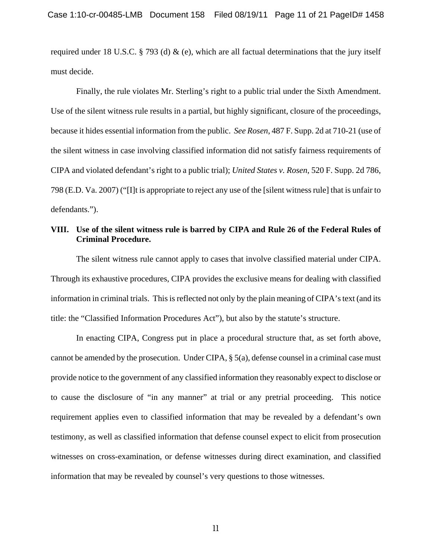required under 18 U.S.C. § 793 (d) & (e), which are all factual determinations that the jury itself must decide.

Finally, the rule violates Mr. Sterling's right to a public trial under the Sixth Amendment. Use of the silent witness rule results in a partial, but highly significant, closure of the proceedings, because it hides essential information from the public. *See Rosen*, 487 F. Supp. 2d at 710-21 (use of the silent witness in case involving classified information did not satisfy fairness requirements of CIPA and violated defendant's right to a public trial); *United States v. Rosen*, 520 F. Supp. 2d 786, 798 (E.D. Va. 2007) ("[I]t is appropriate to reject any use of the [silent witness rule] that is unfair to defendants.").

### **VIII. Use of the silent witness rule is barred by CIPA and Rule 26 of the Federal Rules of Criminal Procedure.**

 The silent witness rule cannot apply to cases that involve classified material under CIPA. Through its exhaustive procedures, CIPA provides the exclusive means for dealing with classified information in criminal trials. This is reflected not only by the plain meaning of CIPA's text (and its title: the "Classified Information Procedures Act"), but also by the statute's structure.

In enacting CIPA, Congress put in place a procedural structure that, as set forth above, cannot be amended by the prosecution. Under CIPA, § 5(a), defense counsel in a criminal case must provide notice to the government of any classified information they reasonably expect to disclose or to cause the disclosure of "in any manner" at trial or any pretrial proceeding. This notice requirement applies even to classified information that may be revealed by a defendant's own testimony, as well as classified information that defense counsel expect to elicit from prosecution witnesses on cross-examination, or defense witnesses during direct examination, and classified information that may be revealed by counsel's very questions to those witnesses.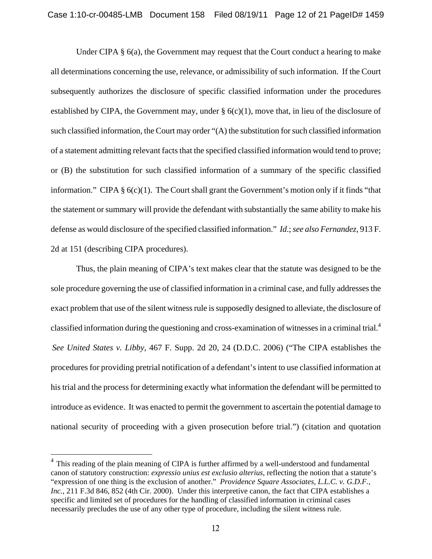Under CIPA § 6(a), the Government may request that the Court conduct a hearing to make all determinations concerning the use, relevance, or admissibility of such information. If the Court subsequently authorizes the disclosure of specific classified information under the procedures established by CIPA, the Government may, under  $\S$  6(c)(1), move that, in lieu of the disclosure of such classified information, the Court may order "(A) the substitution for such classified information of a statement admitting relevant facts that the specified classified information would tend to prove; or (B) the substitution for such classified information of a summary of the specific classified information." CIPA § 6(c)(1).The Court shall grant the Government's motion only if it finds "that the statement or summary will provide the defendant with substantially the same ability to make his defense as would disclosure of the specified classified information." *Id*.; *see also Fernandez*, 913 F. 2d at 151 (describing CIPA procedures).

Thus, the plain meaning of CIPA's text makes clear that the statute was designed to be the sole procedure governing the use of classified information in a criminal case, and fully addresses the exact problem that use of the silent witness rule is supposedly designed to alleviate, the disclosure of classified information during the questioning and cross-examination of witnesses in a criminal trial.4 *See United States v. Libby*, 467 F. Supp. 2d 20, 24 (D.D.C. 2006) ("The CIPA establishes the procedures for providing pretrial notification of a defendant's intent to use classified information at his trial and the process for determining exactly what information the defendant will be permitted to introduce as evidence. It was enacted to permit the government to ascertain the potential damage to national security of proceeding with a given prosecution before trial.") (citation and quotation

 $\overline{a}$ 

 $4$  This reading of the plain meaning of CIPA is further affirmed by a well-understood and fundamental canon of statutory construction: *expressio unius est exclusio alterius*, reflecting the notion that a statute's "expression of one thing is the exclusion of another." *Providence Square Associates, L.L.C. v. G.D.F., Inc.*, 211 F.3d 846, 852 (4th Cir. 2000). Under this interpretive canon, the fact that CIPA establishes a specific and limited set of procedures for the handling of classified information in criminal cases necessarily precludes the use of any other type of procedure, including the silent witness rule.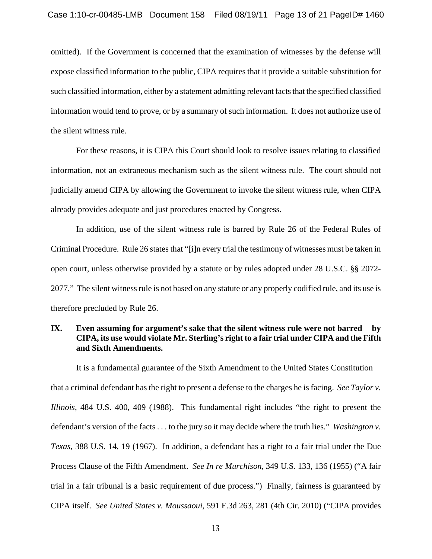omitted). If the Government is concerned that the examination of witnesses by the defense will expose classified information to the public, CIPA requires that it provide a suitable substitution for such classified information, either by a statement admitting relevant facts that the specified classified information would tend to prove, or by a summary of such information. It does not authorize use of the silent witness rule.

For these reasons, it is CIPA this Court should look to resolve issues relating to classified information, not an extraneous mechanism such as the silent witness rule. The court should not judicially amend CIPA by allowing the Government to invoke the silent witness rule, when CIPA already provides adequate and just procedures enacted by Congress.

In addition, use of the silent witness rule is barred by Rule 26 of the Federal Rules of Criminal Procedure. Rule 26 states that "[i]n every trial the testimony of witnesses must be taken in open court, unless otherwise provided by a statute or by rules adopted under 28 U.S.C. §§ 2072- 2077." The silent witness rule is not based on any statute or any properly codified rule, and its use is therefore precluded by Rule 26.

# **IX. Even assuming for argument's sake that the silent witness rule were not barred by CIPA, its use would violate Mr. Sterling's right to a fair trial under CIPA and the Fifth and Sixth Amendments.**

It is a fundamental guarantee of the Sixth Amendment to the United States Constitution that a criminal defendant has the right to present a defense to the charges he is facing. *See Taylor v. Illinois*, 484 U.S. 400, 409 (1988). This fundamental right includes "the right to present the defendant's version of the facts . . . to the jury so it may decide where the truth lies." *Washington v. Texas*, 388 U.S. 14, 19 (1967). In addition, a defendant has a right to a fair trial under the Due Process Clause of the Fifth Amendment. *See In re Murchison*, 349 U.S. 133, 136 (1955) ("A fair trial in a fair tribunal is a basic requirement of due process.") Finally, fairness is guaranteed by CIPA itself. *See United States v. Moussaoui*, 591 F.3d 263, 281 (4th Cir. 2010) ("CIPA provides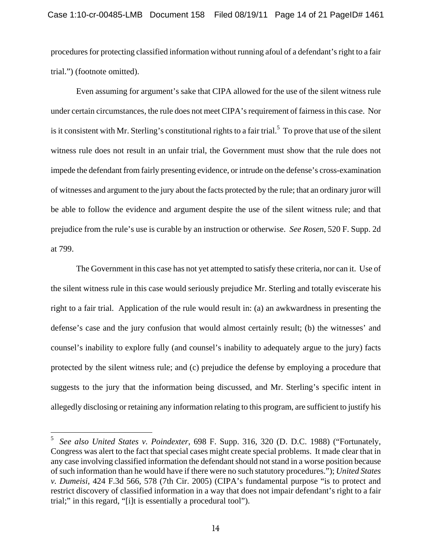procedures for protecting classified information without running afoul of a defendant's right to a fair trial.") (footnote omitted).

 Even assuming for argument's sake that CIPA allowed for the use of the silent witness rule under certain circumstances, the rule does not meet CIPA's requirement of fairness in this case. Nor is it consistent with Mr. Sterling's constitutional rights to a fair trial.<sup>5</sup> To prove that use of the silent witness rule does not result in an unfair trial, the Government must show that the rule does not impede the defendant from fairly presenting evidence, or intrude on the defense's cross-examination of witnesses and argument to the jury about the facts protected by the rule; that an ordinary juror will be able to follow the evidence and argument despite the use of the silent witness rule; and that prejudice from the rule's use is curable by an instruction or otherwise. *See Rosen*, 520 F. Supp. 2d at 799.

The Government in this case has not yet attempted to satisfy these criteria, nor can it. Use of the silent witness rule in this case would seriously prejudice Mr. Sterling and totally eviscerate his right to a fair trial. Application of the rule would result in: (a) an awkwardness in presenting the defense's case and the jury confusion that would almost certainly result; (b) the witnesses' and counsel's inability to explore fully (and counsel's inability to adequately argue to the jury) facts protected by the silent witness rule; and (c) prejudice the defense by employing a procedure that suggests to the jury that the information being discussed, and Mr. Sterling's specific intent in allegedly disclosing or retaining any information relating to this program, are sufficient to justify his

 $\overline{a}$ 

<sup>5</sup>*See also United States v. Poindexter*, 698 F. Supp. 316, 320 (D. D.C. 1988) ("Fortunately, Congress was alert to the fact that special cases might create special problems. It made clear that in any case involving classified information the defendant should not stand in a worse position because of such information than he would have if there were no such statutory procedures."); *United States v. Dumeisi*, 424 F.3d 566, 578 (7th Cir. 2005) (CIPA's fundamental purpose "is to protect and restrict discovery of classified information in a way that does not impair defendant's right to a fair trial;" in this regard, "[i]t is essentially a procedural tool").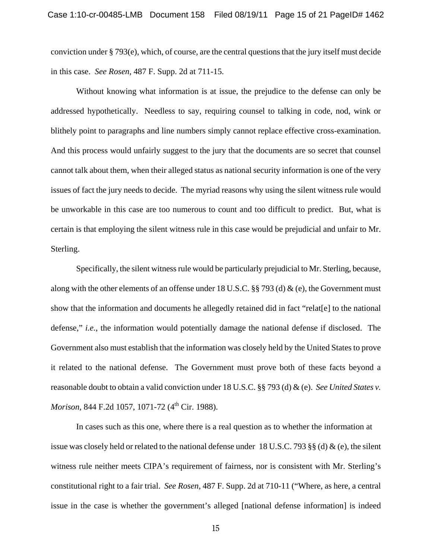conviction under § 793(e), which, of course, are the central questions that the jury itself must decide in this case. *See Rosen*, 487 F. Supp. 2d at 711-15.

Without knowing what information is at issue, the prejudice to the defense can only be addressed hypothetically. Needless to say, requiring counsel to talking in code, nod, wink or blithely point to paragraphs and line numbers simply cannot replace effective cross-examination. And this process would unfairly suggest to the jury that the documents are so secret that counsel cannot talk about them, when their alleged status as national security information is one of the very issues of fact the jury needs to decide. The myriad reasons why using the silent witness rule would be unworkable in this case are too numerous to count and too difficult to predict. But, what is certain is that employing the silent witness rule in this case would be prejudicial and unfair to Mr. Sterling.

Specifically, the silent witness rule would be particularly prejudicial to Mr. Sterling, because, along with the other elements of an offense under 18 U.S.C. §§ 793 (d) & (e), the Government must show that the information and documents he allegedly retained did in fact "relat[e] to the national defense," *i.e.*, the information would potentially damage the national defense if disclosed. The Government also must establish that the information was closely held by the United States to prove it related to the national defense. The Government must prove both of these facts beyond a reasonable doubt to obtain a valid conviction under 18 U.S.C. §§ 793 (d) & (e). *See United States v. Morison*, 844 F.2d 1057, 1071-72 (4<sup>th</sup> Cir. 1988).

In cases such as this one, where there is a real question as to whether the information at issue was closely held or related to the national defense under 18 U.S.C. 793 §§ (d) & (e), the silent witness rule neither meets CIPA's requirement of fairness, nor is consistent with Mr. Sterling's constitutional right to a fair trial. *See Rosen*, 487 F. Supp. 2d at 710-11 ("Where, as here, a central issue in the case is whether the government's alleged [national defense information] is indeed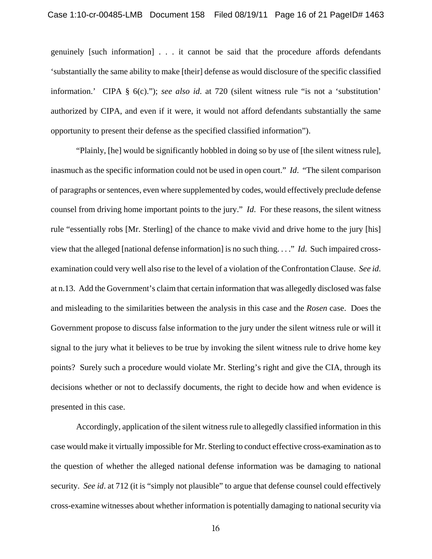genuinely [such information] . . . it cannot be said that the procedure affords defendants 'substantially the same ability to make [their] defense as would disclosure of the specific classified information.' CIPA § 6(c)."); *see also id*. at 720 (silent witness rule "is not a 'substitution' authorized by CIPA, and even if it were, it would not afford defendants substantially the same opportunity to present their defense as the specified classified information").

"Plainly, [he] would be significantly hobbled in doing so by use of [the silent witness rule], inasmuch as the specific information could not be used in open court." *Id*. "The silent comparison of paragraphs or sentences, even where supplemented by codes, would effectively preclude defense counsel from driving home important points to the jury." *Id*. For these reasons, the silent witness rule "essentially robs [Mr. Sterling] of the chance to make vivid and drive home to the jury [his] view that the alleged [national defense information] is no such thing. . . ." *Id*. Such impaired crossexamination could very well also rise to the level of a violation of the Confrontation Clause. *See id*. at n.13. Add the Government's claim that certain information that was allegedly disclosed was false and misleading to the similarities between the analysis in this case and the *Rosen* case. Does the Government propose to discuss false information to the jury under the silent witness rule or will it signal to the jury what it believes to be true by invoking the silent witness rule to drive home key points? Surely such a procedure would violate Mr. Sterling's right and give the CIA, through its decisions whether or not to declassify documents, the right to decide how and when evidence is presented in this case.

Accordingly, application of the silent witness rule to allegedly classified information in this case would make it virtually impossible for Mr. Sterling to conduct effective cross-examination as to the question of whether the alleged national defense information was be damaging to national security. *See id*. at 712 (it is "simply not plausible" to argue that defense counsel could effectively cross-examine witnesses about whether information is potentially damaging to national security via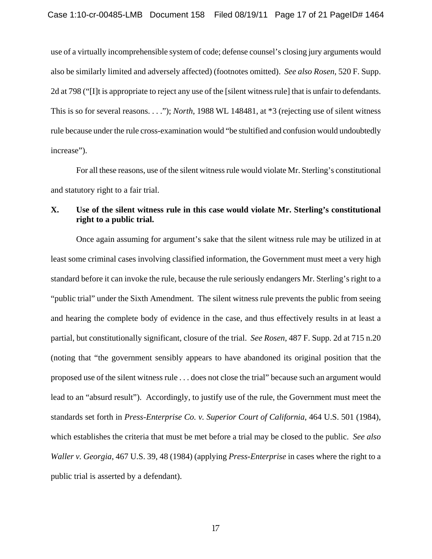use of a virtually incomprehensible system of code; defense counsel's closing jury arguments would also be similarly limited and adversely affected) (footnotes omitted). *See also Rosen*, 520 F. Supp. 2d at 798 ("[I]t is appropriate to reject any use of the [silent witness rule] that is unfair to defendants. This is so for several reasons. . . ."); *North*, 1988 WL 148481, at \*3 (rejecting use of silent witness rule because under the rule cross-examination would "be stultified and confusion would undoubtedly increase").

For all these reasons, use of the silent witness rule would violate Mr. Sterling's constitutional and statutory right to a fair trial.

### **X. Use of the silent witness rule in this case would violate Mr. Sterling's constitutional right to a public trial.**

Once again assuming for argument's sake that the silent witness rule may be utilized in at least some criminal cases involving classified information, the Government must meet a very high standard before it can invoke the rule, because the rule seriously endangers Mr. Sterling's right to a "public trial" under the Sixth Amendment. The silent witness rule prevents the public from seeing and hearing the complete body of evidence in the case, and thus effectively results in at least a partial, but constitutionally significant, closure of the trial. *See Rosen*, 487 F. Supp. 2d at 715 n.20 (noting that "the government sensibly appears to have abandoned its original position that the proposed use of the silent witness rule . . . does not close the trial" because such an argument would lead to an "absurd result"). Accordingly, to justify use of the rule, the Government must meet the standards set forth in *Press-Enterprise Co. v. Superior Court of California*, 464 U.S. 501 (1984), which establishes the criteria that must be met before a trial may be closed to the public. *See also Waller v. Georgia*, 467 U.S. 39, 48 (1984) (applying *Press-Enterprise* in cases where the right to a public trial is asserted by a defendant).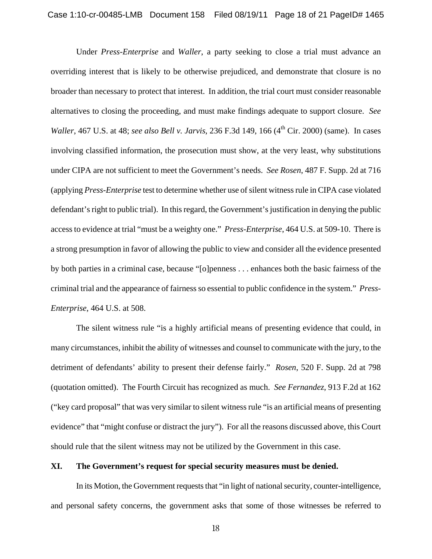Under *Press-Enterprise* and *Waller*, a party seeking to close a trial must advance an overriding interest that is likely to be otherwise prejudiced, and demonstrate that closure is no broader than necessary to protect that interest. In addition, the trial court must consider reasonable alternatives to closing the proceeding, and must make findings adequate to support closure. *See Waller*, 467 U.S. at 48; *see also Bell v. Jarvis*, 236 F.3d 149, 166 (4<sup>th</sup> Cir. 2000) (same). In cases involving classified information, the prosecution must show, at the very least, why substitutions under CIPA are not sufficient to meet the Government's needs. *See Rosen*, 487 F. Supp. 2d at 716 (applying *Press-Enterprise* test to determine whether use of silent witness rule in CIPA case violated defendant's right to public trial). In this regard, the Government's justification in denying the public access to evidence at trial "must be a weighty one." *Press-Enterprise*, 464 U.S. at 509-10. There is a strong presumption in favor of allowing the public to view and consider all the evidence presented by both parties in a criminal case, because "[o]penness . . . enhances both the basic fairness of the criminal trial and the appearance of fairness so essential to public confidence in the system." *Press-Enterprise*, 464 U.S. at 508.

The silent witness rule "is a highly artificial means of presenting evidence that could, in many circumstances, inhibit the ability of witnesses and counsel to communicate with the jury, to the detriment of defendants' ability to present their defense fairly." *Rosen*, 520 F. Supp. 2d at 798 (quotation omitted). The Fourth Circuit has recognized as much. *See Fernandez*, 913 F.2d at 162 ("key card proposal" that was very similar to silent witness rule "is an artificial means of presenting evidence" that "might confuse or distract the jury"). For all the reasons discussed above, this Court should rule that the silent witness may not be utilized by the Government in this case.

#### **XI. The Government's request for special security measures must be denied.**

In its Motion, the Government requests that "in light of national security, counter-intelligence, and personal safety concerns, the government asks that some of those witnesses be referred to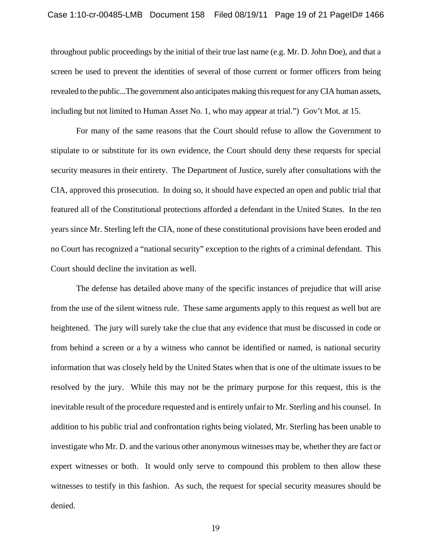throughout public proceedings by the initial of their true last name (e.g. Mr. D. John Doe), and that a screen be used to prevent the identities of several of those current or former officers from being revealed to the public...The government also anticipates making this request for any CIA human assets, including but not limited to Human Asset No. 1, who may appear at trial.") Gov't Mot. at 15.

For many of the same reasons that the Court should refuse to allow the Government to stipulate to or substitute for its own evidence, the Court should deny these requests for special security measures in their entirety. The Department of Justice, surely after consultations with the CIA, approved this prosecution. In doing so, it should have expected an open and public trial that featured all of the Constitutional protections afforded a defendant in the United States. In the ten years since Mr. Sterling left the CIA, none of these constitutional provisions have been eroded and no Court has recognized a "national security" exception to the rights of a criminal defendant. This Court should decline the invitation as well.

The defense has detailed above many of the specific instances of prejudice that will arise from the use of the silent witness rule. These same arguments apply to this request as well but are heightened. The jury will surely take the clue that any evidence that must be discussed in code or from behind a screen or a by a witness who cannot be identified or named, is national security information that was closely held by the United States when that is one of the ultimate issues to be resolved by the jury. While this may not be the primary purpose for this request, this is the inevitable result of the procedure requested and is entirely unfair to Mr. Sterling and his counsel. In addition to his public trial and confrontation rights being violated, Mr. Sterling has been unable to investigate who Mr. D. and the various other anonymous witnesses may be, whether they are fact or expert witnesses or both. It would only serve to compound this problem to then allow these witnesses to testify in this fashion. As such, the request for special security measures should be denied.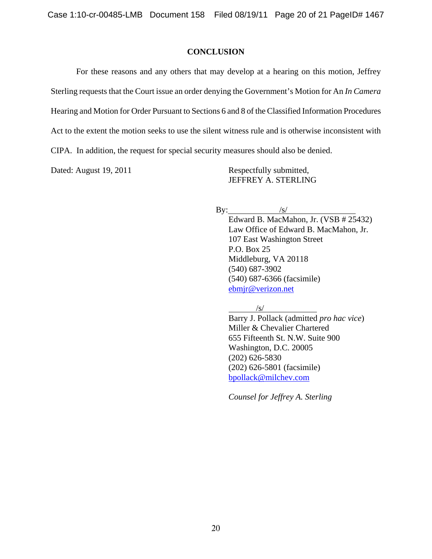### **CONCLUSION**

 For these reasons and any others that may develop at a hearing on this motion, Jeffrey Sterling requests that the Court issue an order denying the Government's Motion for An *In Camera* Hearing and Motion for Order Pursuant to Sections 6 and 8 of the Classified Information Procedures Act to the extent the motion seeks to use the silent witness rule and is otherwise inconsistent with CIPA. In addition, the request for special security measures should also be denied.

Dated: August 19, 2011 Respectfully submitted, JEFFREY A. STERLING

By:  $/s/$ 

 Edward B. MacMahon, Jr. (VSB # 25432) Law Office of Edward B. MacMahon, Jr. 107 East Washington Street P.O. Box 25 Middleburg, VA 20118 (540) 687-3902 (540) 687-6366 (facsimile) ebmjr@verizon.net

/s/

 Barry J. Pollack (admitted *pro hac vice*) Miller & Chevalier Chartered 655 Fifteenth St. N.W. Suite 900 Washington, D.C. 20005 (202) 626-5830 (202) 626-5801 (facsimile) bpollack@milchev.com

 *Counsel for Jeffrey A. Sterling*